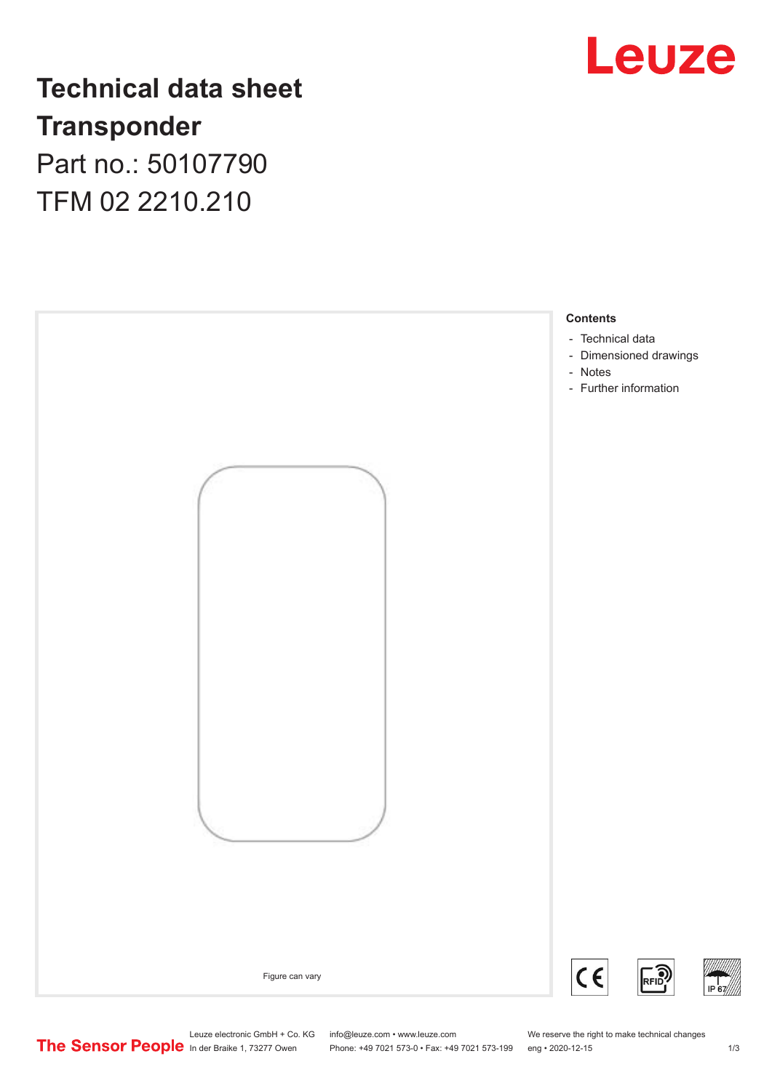

## **Technical data sheet Transponder** Part no.: 50107790

TFM 02 2210.210



Leuze electronic GmbH + Co. KG info@leuze.com • www.leuze.com We reserve the right to make technical changes<br>
The Sensor People in der Braike 1, 73277 Owen Phone: +49 7021 573-0 • Fax: +49 7021 573-199 eng • 2020-12-15

Phone: +49 7021 573-0 • Fax: +49 7021 573-199 eng • 2020-12-15 1 73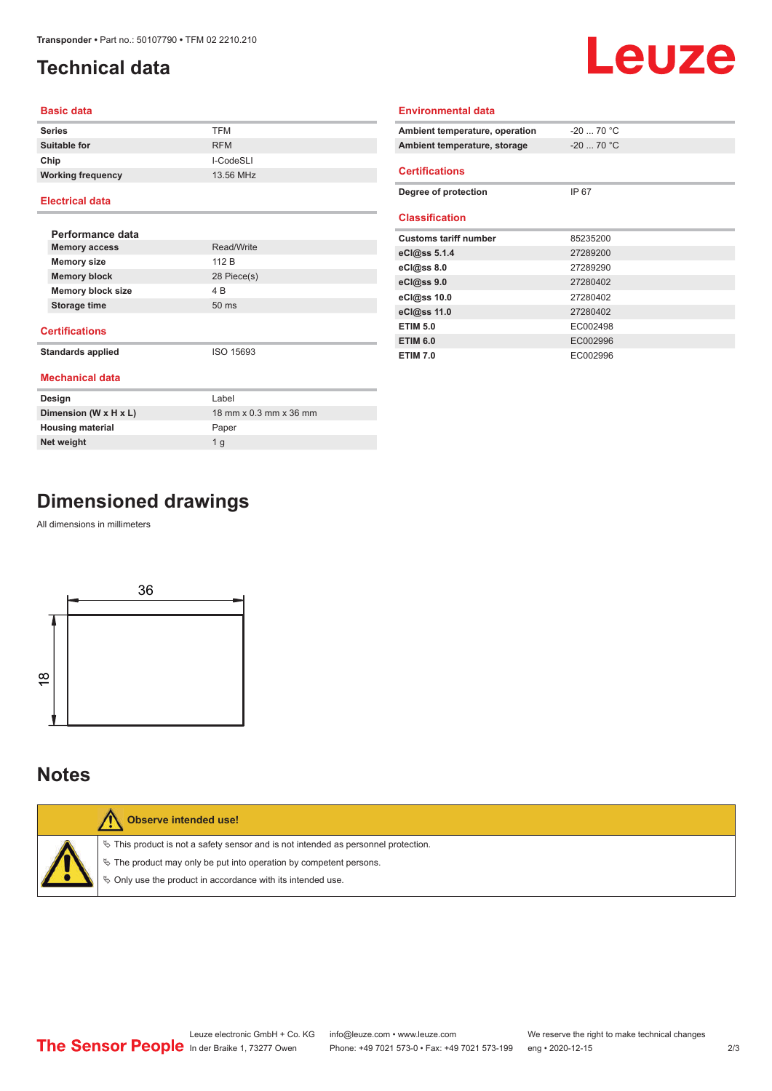## <span id="page-1-0"></span>**Technical data**

# Leuze

#### **Basic data**

| <b>Series</b>            | <b>TFM</b> |
|--------------------------|------------|
| <b>Suitable for</b>      | <b>RFM</b> |
| Chip                     | I-CodeSLI  |
| <b>Working frequency</b> | 13.56 MHz  |

#### **Electrical data**

| Performance data         |                 |
|--------------------------|-----------------|
| <b>Memory access</b>     | Read/Write      |
| <b>Memory size</b>       | 112 B           |
| <b>Memory block</b>      | 28 Piece(s)     |
| <b>Memory block size</b> | 4 B             |
| Storage time             | $50 \text{ ms}$ |
|                          |                 |

#### **Certifications**

**Standards applied** ISO 15693

|  | <b>Mechanical data</b> |
|--|------------------------|

| Design                  | Label                  |
|-------------------------|------------------------|
| Dimension (W x H x L)   | 18 mm x 0.3 mm x 36 mm |
| <b>Housing material</b> | Paper                  |
| Net weight              | 1 a                    |

| Ambient temperature, operation | $-20$ 70 °C |
|--------------------------------|-------------|
| Ambient temperature, storage   | $-20$ 70 °C |
| <b>Certifications</b>          |             |
| Degree of protection           | IP 67       |
| <b>Classification</b>          |             |
| <b>Customs tariff number</b>   | 85235200    |
| eCl@ss 5.1.4                   | 27289200    |
| $eC$ <sub>0</sub> $e$ ss 8.0   | 27289290    |
| $eC$ <sub>l</sub> $@ss$ 9.0    | 27280402    |
| eCl@ss 10.0                    | 27280402    |
| eCl@ss 11.0                    | 27280402    |
| <b>ETIM 5.0</b>                | EC002498    |
| <b>ETIM 6.0</b>                | EC002996    |

**ETIM 7.0** EC002996

**Environmental data**

## **Dimensioned drawings**

All dimensions in millimeters



### **Notes**

| Observe intended use!                                                                                                                                                                                                         |
|-------------------------------------------------------------------------------------------------------------------------------------------------------------------------------------------------------------------------------|
| $\%$ This product is not a safety sensor and is not intended as personnel protection.<br>$\%$ The product may only be put into operation by competent persons.<br>♦ Only use the product in accordance with its intended use. |